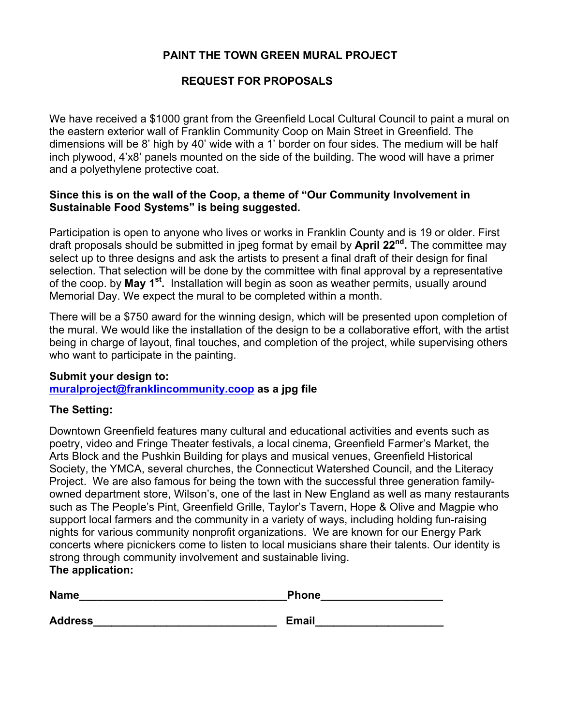## **PAINT THE TOWN GREEN MURAL PROJECT**

## **REQUEST FOR PROPOSALS**

We have received a \$1000 grant from the Greenfield Local Cultural Council to paint a mural on the eastern exterior wall of Franklin Community Coop on Main Street in Greenfield. The dimensions will be 8' high by 40' wide with a 1' border on four sides. The medium will be half inch plywood, 4'x8' panels mounted on the side of the building. The wood will have a primer and a polyethylene protective coat.

### **Since this is on the wall of the Coop, a theme of "Our Community Involvement in Sustainable Food Systems" is being suggested.**

Participation is open to anyone who lives or works in Franklin County and is 19 or older. First draft proposals should be submitted in jpeg format by email by **April 22nd.** The committee may select up to three designs and ask the artists to present a final draft of their design for final selection. That selection will be done by the committee with final approval by a representative of the coop. by **May 1st.** Installation will begin as soon as weather permits, usually around Memorial Day. We expect the mural to be completed within a month.

There will be a \$750 award for the winning design, which will be presented upon completion of the mural. We would like the installation of the design to be a collaborative effort, with the artist being in charge of layout, final touches, and completion of the project, while supervising others who want to participate in the painting.

#### **Submit your design to:**

**muralproject@franklincommunity.coop as a jpg file**

#### **The Setting:**

Downtown Greenfield features many cultural and educational activities and events such as poetry, video and Fringe Theater festivals, a local cinema, Greenfield Farmer's Market, the Arts Block and the Pushkin Building for plays and musical venues, Greenfield Historical Society, the YMCA, several churches, the Connecticut Watershed Council, and the Literacy Project. We are also famous for being the town with the successful three generation familyowned department store, Wilson's, one of the last in New England as well as many restaurants such as The People's Pint, Greenfield Grille, Taylor's Tavern, Hope & Olive and Magpie who support local farmers and the community in a variety of ways, including holding fun-raising nights for various community nonprofit organizations. We are known for our Energy Park concerts where picnickers come to listen to local musicians share their talents. Our identity is strong through community involvement and sustainable living. **The application:**

# **Name Name** *Name Name* **<b>***Phone Phone* Address **Email**